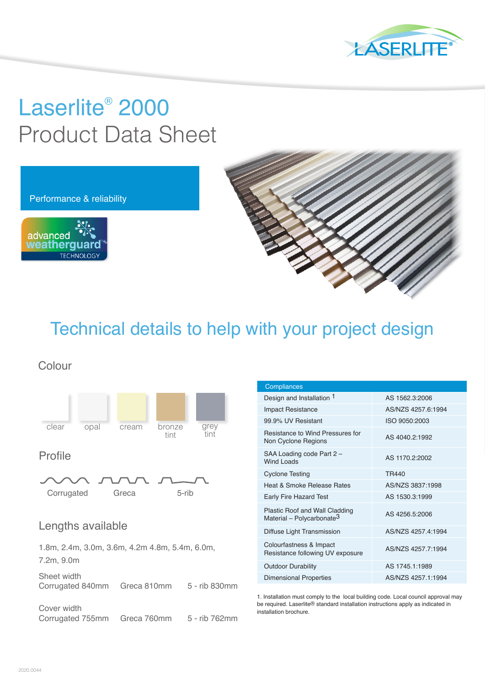

# Laserlite® 2000 Product Data Sheet



Technical details to help with your project design

Colour



### Profile



## Lengths available

1.8m, 2.4m, 3.0m, 3.6m, 4.2m 4.8m, 5.4m, 6.0m, 7.2m, 9.0m

Sheet width Corrugated 840mm Greca 810mm 5 - rib 830mm

Cover width Corrugated 755mm Greca 760mm 5 - rib 762mm

| <b>Compliances</b>                                                             |                    |
|--------------------------------------------------------------------------------|--------------------|
| Design and Installation 1                                                      | AS 1562.3:2006     |
| <b>Impact Resistance</b>                                                       | AS/N7S 4257 6:1994 |
| 99.9% UV Resistant                                                             | ISO 9050:2003      |
| Resistance to Wind Pressures for<br>Non Cyclone Regions                        | AS 4040.2:1992     |
| SAA Loading code Part 2 -<br>Wind Loads                                        | AS 1170.2:2002     |
| <b>Cyclone Testing</b>                                                         | TR440              |
| Heat & Smoke Release Rates                                                     | AS/NZS 3837:1998   |
| <b>Early Fire Hazard Test</b>                                                  | AS 1530.3:1999     |
| <b>Plastic Roof and Wall Cladding</b><br>Material - Polycarbonate <sup>3</sup> | AS 4256.5:2006     |
| Diffuse Light Transmission                                                     | AS/N7S 4257 4:1994 |
| Colourfastness & Impact<br>Resistance following UV exposure                    | AS/NZS 4257.7:1994 |
| <b>Outdoor Durability</b>                                                      | AS 1745.1:1989     |
| Dimensional Properties                                                         | AS/N7S 4257 1:1994 |

1. Installation must comply to the local building code. Local council approval may be required. Laserlite<sup>®</sup> standard installation instructions apply as indicated in installation brochure.